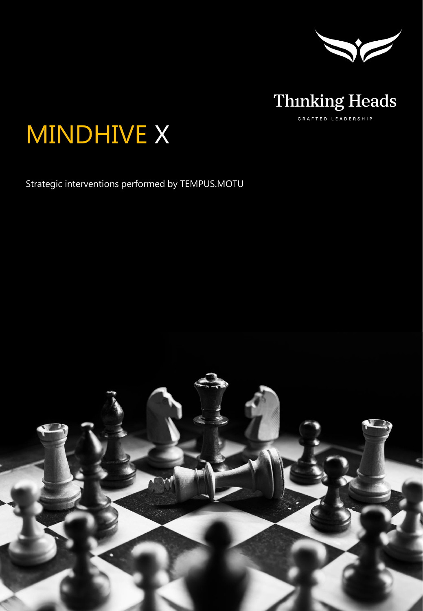



# MINDHIVE X

Strategic interventions performed by TEMPUS.MOTU

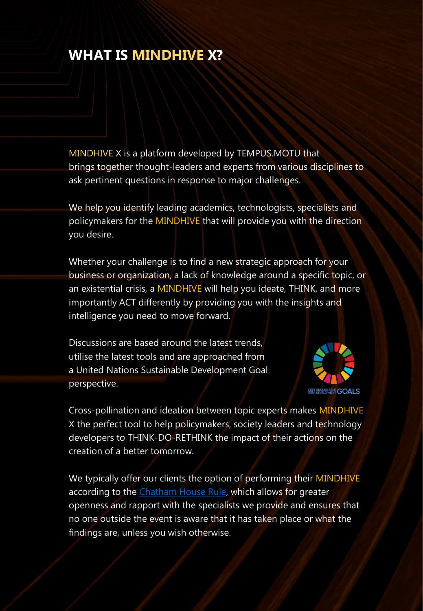#### **WHAT IS MINDHIVE X?**

MINDHIVE X is a platform developed by TEMPUS.MOTU that brings together thought-leaders and experts from various disciplines to ask pertinent questions in response to major challenges.

We help you identify leading academics, technologists, specialists and policymakers for the MINDHIVE that will provide you with the direction you desire.

Whether your challenge is to find a new strategic approach for your business or organization, a lack of knowledge around a specific topic, or an existential crisis, a MINDHIVE will help you ideate, THINK, and more importantly ACT differently by providing you with the insights and intelligence you need to move forward.

Discussions are based around the latest trends, utilise the latest tools and are approached from a United Nations Sustainable Development Goal perspective.



Cross-pollination and ideation between topic experts makes MINDHIVE X the perfect tool to help policymakers, society leaders and technology developers to THINK-DO-RETHINK the impact of their actions on the creation of a better tomorrow.

We typically offer our clients the option of performing their MINDHIVE according to the [Chatham House Rule,](https://en.wikipedia.org/wiki/Chatham_House_Rule) which allows for greater openness and rapport with the specialists we provide and ensures that no one outside the event is aware that it has taken place or what the findings are, unless you wish otherwise.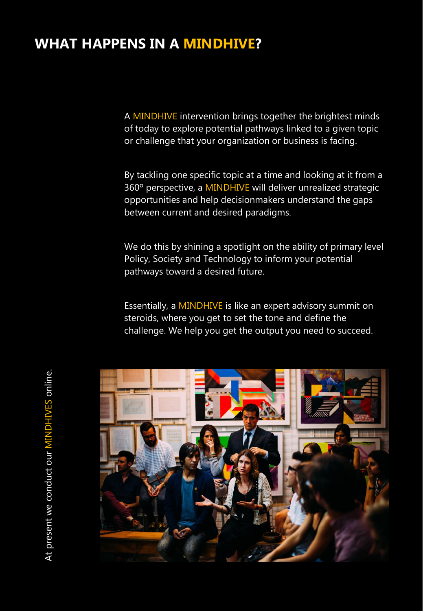#### **WHAT HAPPENS IN A MINDHIVE?**

A MINDHIVE intervention brings together the brightest minds of today to explore potential pathways linked to a given topic or challenge that your organization or business is facing.

By tackling one specific topic at a time and looking at it from a 360º perspective, a MINDHIVE will deliver unrealized strategic opportunities and help decisionmakers understand the gaps between current and desired paradigms.

We do this by shining a spotlight on the ability of primary level Policy, Society and Technology to inform your potential pathways toward a desired future.

Essentially, a MINDHIVE is like an expert advisory summit on steroids, where you get to set the tone and define the challenge. We help you get the output you need to succeed.

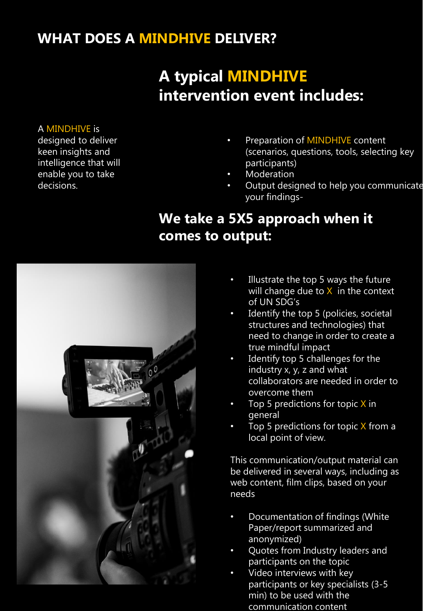### **WHAT DOES A MINDHIVE DELIVER?**

# **A typical MINDHIVE intervention event includes:**

#### A MINDHIVE is

designed to deliver keen insights and intelligence that will enable you to take decisions.

- Preparation of MINDHIVE content (scenarios, questions, tools, selecting key participants)
- **Moderation**
- Output designed to help you communicate your findings-

## **We take a 5X5 approach when it comes to output:**



- Illustrate the top 5 ways the future will change due to  $X$  in the context of UN SDG's
- Identify the top 5 (policies, societal structures and technologies) that need to change in order to create a true mindful impact
- Identify top 5 challenges for the industry x, y, z and what collaborators are needed in order to overcome them
- Top 5 predictions for topic  $X$  in general
- Top 5 predictions for topic  $X$  from a local point of view.

This communication/output material can be delivered in several ways, including as web content, film clips, based on your needs

- Documentation of findings (White Paper/report summarized and anonymized)
- Quotes from Industry leaders and participants on the topic
- Video interviews with key participants or key specialists (3-5 min) to be used with the communication content